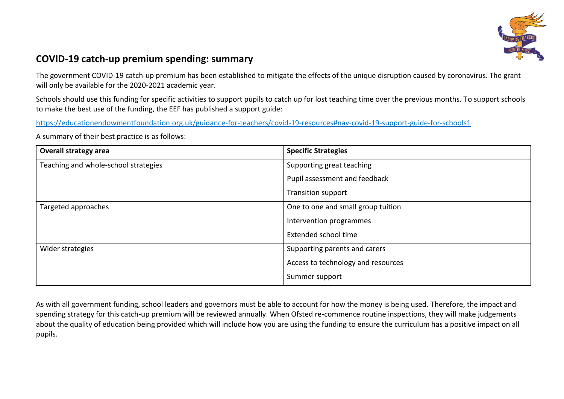

## **COVID-19 catch-up premium spending: summary**

The government COVID-19 catch-up premium has been established to mitigate the effects of the unique disruption caused by coronavirus. The grant will only be available for the 2020-2021 academic year.

Schools should use this funding for specific activities to support pupils to catch up for lost teaching time over the previous months. To support schools to make the best use of the funding, the EEF has published a support guide:

<https://educationendowmentfoundation.org.uk/guidance-for-teachers/covid-19-resources#nav-covid-19-support-guide-for-schools1>

A summary of their best practice is as follows:

| <b>Overall strategy area</b>         | <b>Specific Strategies</b>         |  |
|--------------------------------------|------------------------------------|--|
| Teaching and whole-school strategies | Supporting great teaching          |  |
|                                      | Pupil assessment and feedback      |  |
|                                      | <b>Transition support</b>          |  |
| Targeted approaches                  | One to one and small group tuition |  |
|                                      | Intervention programmes            |  |
|                                      | Extended school time               |  |
| Wider strategies                     | Supporting parents and carers      |  |
|                                      | Access to technology and resources |  |
|                                      | Summer support                     |  |

As with all government funding, school leaders and governors must be able to account for how the money is being used. Therefore, the impact and spending strategy for this catch-up premium will be reviewed annually. When Ofsted re-commence routine inspections, they will make judgements about the quality of education being provided which will include how you are using the funding to ensure the curriculum has a positive impact on all pupils.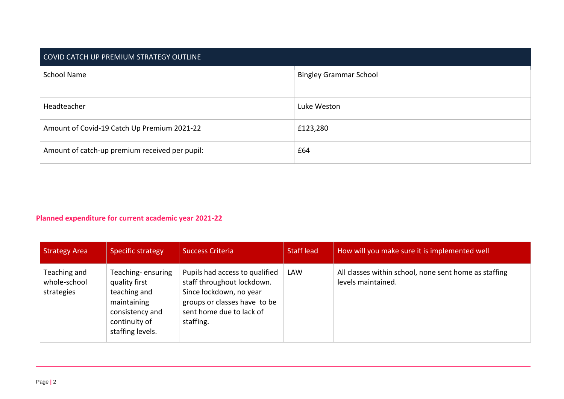| COVID CATCH UP PREMIUM STRATEGY OUTLINE        |                               |  |  |
|------------------------------------------------|-------------------------------|--|--|
| <b>School Name</b>                             | <b>Bingley Grammar School</b> |  |  |
| Headteacher                                    | Luke Weston                   |  |  |
| Amount of Covid-19 Catch Up Premium 2021-22    | £123,280                      |  |  |
| Amount of catch-up premium received per pupil: | £64                           |  |  |

## **Planned expenditure for current academic year 2021-22**

| <b>Strategy Area</b>                       | Specific strategy                                                                                                         | <b>Success Criteria</b>                                                                                                                                          | <b>Staff lead</b> | How will you make sure it is implemented well                               |
|--------------------------------------------|---------------------------------------------------------------------------------------------------------------------------|------------------------------------------------------------------------------------------------------------------------------------------------------------------|-------------------|-----------------------------------------------------------------------------|
| Teaching and<br>whole-school<br>strategies | Teaching-ensuring<br>quality first<br>teaching and<br>maintaining<br>consistency and<br>continuity of<br>staffing levels. | Pupils had access to qualified<br>staff throughout lockdown.<br>Since lockdown, no year<br>groups or classes have to be<br>sent home due to lack of<br>staffing. | <b>LAW</b>        | All classes within school, none sent home as staffing<br>levels maintained. |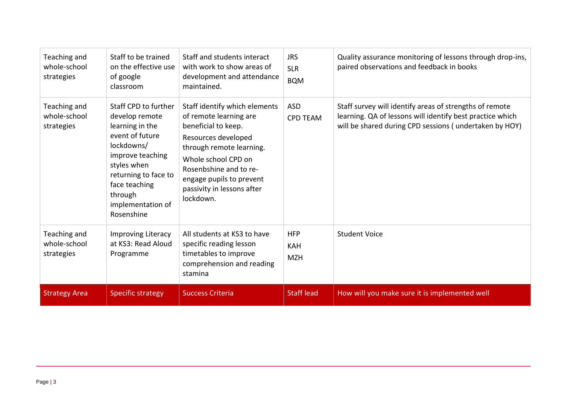| Teaching and<br>whole-school<br>strategies | Staff to be trained<br>on the effective use<br>of google<br>classroom                                                                                                                                                | Staff and students interact<br>with work to show areas of<br>development and attendance<br>maintained.                                                                                                                                                    | <b>JRS</b><br><b>SLR</b><br><b>BQM</b> | Quality assurance monitoring of lessons through drop-ins,<br>paired observations and feedback in books                                                                         |
|--------------------------------------------|----------------------------------------------------------------------------------------------------------------------------------------------------------------------------------------------------------------------|-----------------------------------------------------------------------------------------------------------------------------------------------------------------------------------------------------------------------------------------------------------|----------------------------------------|--------------------------------------------------------------------------------------------------------------------------------------------------------------------------------|
| Teaching and<br>whole-school<br>strategies | Staff CPD to further<br>develop remote<br>learning in the<br>event of future<br>lockdowns/<br>improve teaching<br>styles when<br>returning to face to<br>face teaching<br>through<br>implementation of<br>Rosenshine | Staff identify which elements<br>of remote learning are<br>beneficial to keep.<br>Resources developed<br>through remote learning.<br>Whole school CPD on<br>Rosenbshine and to re-<br>engage pupils to prevent<br>passivity in lessons after<br>lockdown. | <b>ASD</b><br><b>CPD TEAM</b>          | Staff survey will identify areas of strengths of remote<br>learning. QA of lessons will identify best practice which<br>will be shared during CPD sessions (undertaken by HOY) |
| Teaching and<br>whole-school<br>strategies | <b>Improving Literacy</b><br>at KS3: Read Aloud<br>Programme                                                                                                                                                         | All students at KS3 to have<br>specific reading lesson<br>timetables to improve<br>comprehension and reading<br>stamina                                                                                                                                   | <b>HFP</b><br><b>KAH</b><br><b>MZH</b> | <b>Student Voice</b>                                                                                                                                                           |
| <b>Strategy Area</b>                       | <b>Specific strategy</b>                                                                                                                                                                                             | <b>Success Criteria</b>                                                                                                                                                                                                                                   | <b>Staff lead</b>                      | How will you make sure it is implemented well                                                                                                                                  |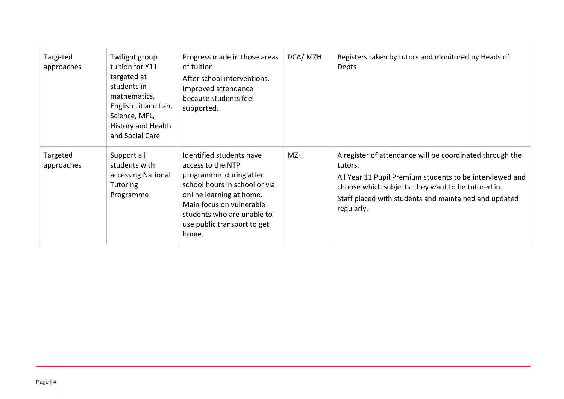| Targeted<br>approaches | Twilight group<br>tuition for Y11<br>targeted at<br>students in<br>mathematics,<br>English Lit and Lan,<br>Science, MFL,<br>History and Health<br>and Social Care | Progress made in those areas<br>of tuition.<br>After school interventions.<br>Improved attendance<br>because students feel<br>supported.                                                                                               | DCA/MZH    | Registers taken by tutors and monitored by Heads of<br>Depts                                                                                                                                                                                                |
|------------------------|-------------------------------------------------------------------------------------------------------------------------------------------------------------------|----------------------------------------------------------------------------------------------------------------------------------------------------------------------------------------------------------------------------------------|------------|-------------------------------------------------------------------------------------------------------------------------------------------------------------------------------------------------------------------------------------------------------------|
| Targeted<br>approaches | Support all<br>students with<br>accessing National<br><b>Tutoring</b><br>Programme                                                                                | Identified students have<br>access to the NTP<br>programme during after<br>school hours in school or via<br>online learning at home.<br>Main focus on vulnerable<br>students who are unable to<br>use public transport to get<br>home. | <b>MZH</b> | A register of attendance will be coordinated through the<br>tutors.<br>All Year 11 Pupil Premium students to be interviewed and<br>choose which subjects they want to be tutored in.<br>Staff placed with students and maintained and updated<br>regularly. |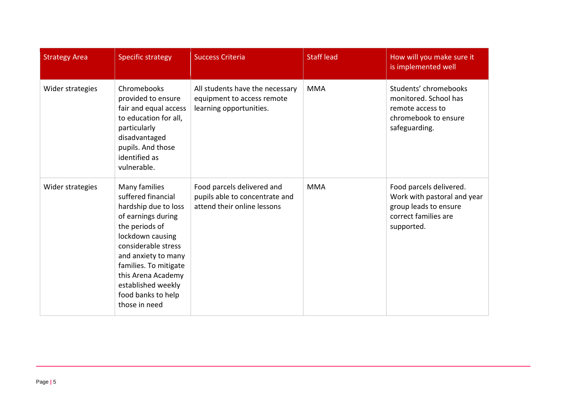| <b>Strategy Area</b> | <b>Specific strategy</b>                                                                                                                                                                                                                                                          | <b>Success Criteria</b>                                                                     | <b>Staff lead</b> | How will you make sure it<br>is implemented well                                                                      |
|----------------------|-----------------------------------------------------------------------------------------------------------------------------------------------------------------------------------------------------------------------------------------------------------------------------------|---------------------------------------------------------------------------------------------|-------------------|-----------------------------------------------------------------------------------------------------------------------|
| Wider strategies     | Chromebooks<br>provided to ensure<br>fair and equal access<br>to education for all,<br>particularly<br>disadvantaged<br>pupils. And those<br>identified as<br>vulnerable.                                                                                                         | All students have the necessary<br>equipment to access remote<br>learning opportunities.    | <b>MMA</b>        | Students' chromebooks<br>monitored. School has<br>remote access to<br>chromebook to ensure<br>safeguarding.           |
| Wider strategies     | Many families<br>suffered financial<br>hardship due to loss<br>of earnings during<br>the periods of<br>lockdown causing<br>considerable stress<br>and anxiety to many<br>families. To mitigate<br>this Arena Academy<br>established weekly<br>food banks to help<br>those in need | Food parcels delivered and<br>pupils able to concentrate and<br>attend their online lessons | <b>MMA</b>        | Food parcels delivered.<br>Work with pastoral and year<br>group leads to ensure<br>correct families are<br>supported. |